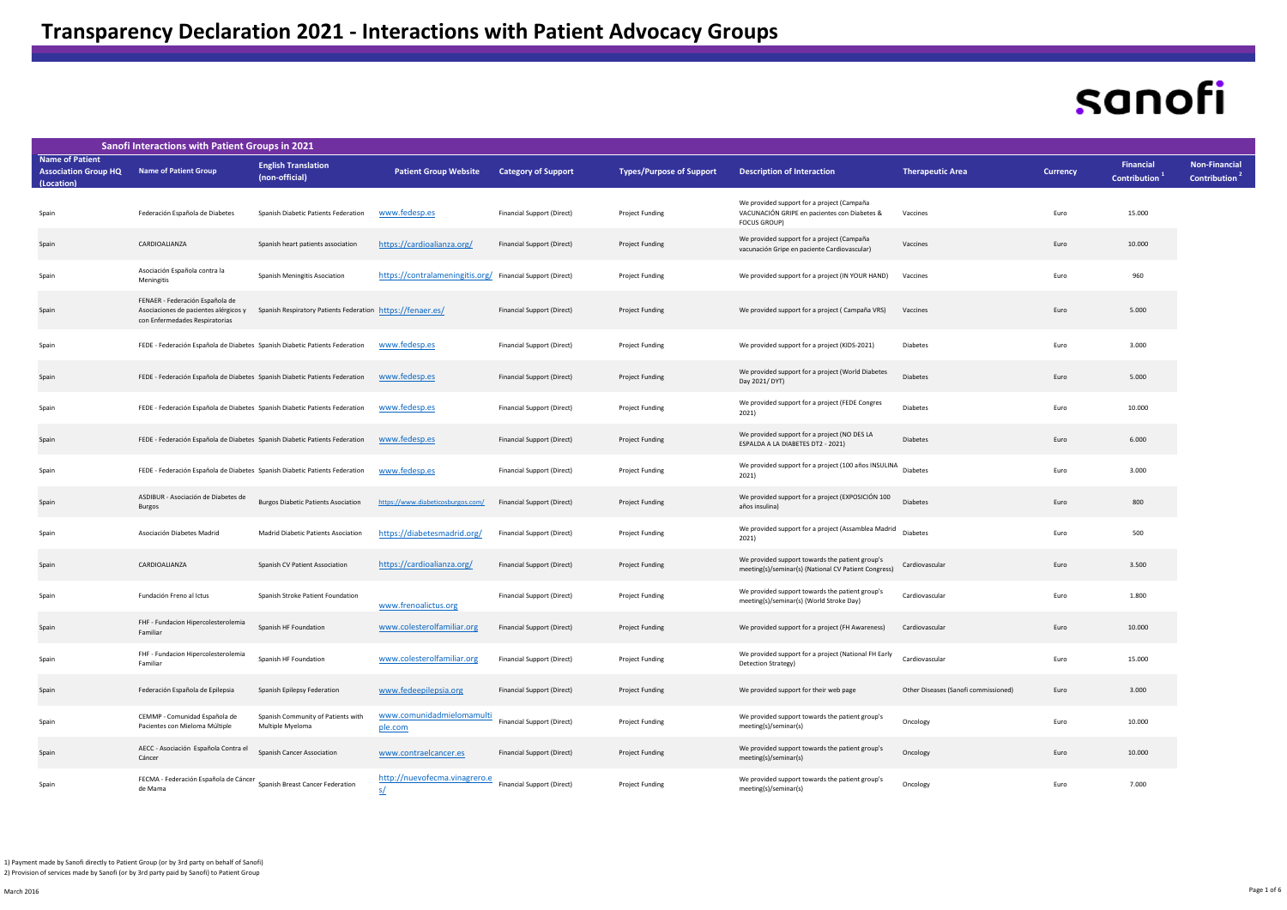## sanofi

| <b>Sanofi Interactions with Patient Groups in 2021</b>              |                                                                                                            |                                                            |                                                            |                            |                                 |                                                                                                                   |                                      |          |                                         |                                                   |
|---------------------------------------------------------------------|------------------------------------------------------------------------------------------------------------|------------------------------------------------------------|------------------------------------------------------------|----------------------------|---------------------------------|-------------------------------------------------------------------------------------------------------------------|--------------------------------------|----------|-----------------------------------------|---------------------------------------------------|
| <b>Name of Patient</b><br><b>Association Group HQ</b><br>(Location) | <b>Name of Patient Group</b>                                                                               | <b>English Translation</b><br>(non-official)               | <b>Patient Group Website</b>                               | <b>Category of Support</b> | <b>Types/Purpose of Support</b> | <b>Description of Interaction</b>                                                                                 | <b>Therapeutic Area</b>              | Currency | <b>Financial</b><br><b>Contribution</b> | <b>Non-Financial</b><br>Contribution <sup>4</sup> |
| Spain                                                               | Federación Española de Diabetes                                                                            | Spanish Diabetic Patients Federation                       | www.fedesp.es                                              | Financial Support (Direct) | Project Funding                 | We provided support for a project (Campaña<br>VACUNACIÓN GRIPE en pacientes con Diabetes &<br><b>FOCUS GROUP)</b> | Vaccines                             | Euro     | 15.000                                  |                                                   |
| Spain                                                               | CARDIOALIANZA                                                                                              | Spanish heart patients association                         | https://cardioalianza.org/                                 | Financial Support (Direct) | Project Funding                 | We provided support for a project (Campaña<br>vacunación Gripe en paciente Cardiovascular)                        | Vaccines                             | Euro     | 10.000                                  |                                                   |
| Spain                                                               | Asociación Española contra la<br>Meningitis                                                                | Spanish Meningitis Asociation                              | https://contralameningitis.org/ Financial Support (Direct) |                            | <b>Project Funding</b>          | We provided support for a project (IN YOUR HAND)                                                                  | Vaccines                             | Euro     | 960                                     |                                                   |
| Spain                                                               | FENAER - Federación Española de<br>Asociaciones de pacientes alérgicos y<br>con Enfermedades Respiratorias | Spanish Respiratory Patients Federation https://fenaer.es/ |                                                            | Financial Support (Direct) | Project Funding                 | We provided support for a project (Campaña VRS)                                                                   | Vaccines                             | Euro     | 5.000                                   |                                                   |
| Spain                                                               | FEDE - Federación Española de Diabetes Spanish Diabetic Patients Federation                                |                                                            | www.fedesp.es                                              | Financial Support (Direct) | <b>Project Funding</b>          | We provided support for a project (KIDS-2021)                                                                     | Diabetes                             | Euro     | 3.000                                   |                                                   |
| Spain                                                               | FEDE - Federación Española de Diabetes Spanish Diabetic Patients Federation                                |                                                            | www.fedesp.es                                              | Financial Support (Direct) | Project Funding                 | We provided support for a project (World Diabetes<br>Day 2021/DYT)                                                | Diabetes                             | Euro     | 5.000                                   |                                                   |
| Spain                                                               | FEDE - Federación Española de Diabetes Spanish Diabetic Patients Federation                                |                                                            | www.fedesp.es                                              | Financial Support (Direct) | <b>Project Funding</b>          | We provided support for a project (FEDE Congres<br>2021)                                                          | Diabetes                             | Euro     | 10.000                                  |                                                   |
| Spain                                                               | FEDE - Federación Española de Diabetes Spanish Diabetic Patients Federation                                |                                                            | www.fedesp.es                                              | Financial Support (Direct) | Project Funding                 | We provided support for a project (NO DES LA<br>ESPALDA A LA DIABETES DT2 - 2021)                                 | Diabetes                             | Euro     | 6.000                                   |                                                   |
| Spain                                                               | FEDE - Federación Española de Diabetes Spanish Diabetic Patients Federation                                |                                                            | www.fedesp.es                                              | Financial Support (Direct) | Project Funding                 | We provided support for a project (100 años INSULINA<br>2021)                                                     | Diabetes                             | Euro     | 3.000                                   |                                                   |
| Spain                                                               | ASDIBUR - Asociación de Diabetes de<br>Burgos                                                              | <b>Burgos Diabetic Patients Asociation</b>                 | https://www.diabeticosburgos.com/                          | Financial Support (Direct) | Project Funding                 | We provided support for a project (EXPOSICIÓN 100<br>años insulina)                                               | <b>Diabetes</b>                      | Euro     | 800                                     |                                                   |
| Spain                                                               | Asociación Diabetes Madrid                                                                                 | Madrid Diabetic Patients Asociation                        | https://diabetesmadrid.org/                                | Financial Support (Direct) | <b>Project Funding</b>          | We provided support for a project (Assamblea Madrid<br>2021)                                                      | <b>Diabetes</b>                      | Euro     | 500                                     |                                                   |
| Spain                                                               | CARDIOALIANZA                                                                                              | Spanish CV Patient Association                             | https://cardioalianza.org/                                 | Financial Support (Direct) | Project Funding                 | We provided support towards the patient group's<br>meeting(s)/seminar(s) (National CV Patient Congress)           | Cardiovascular                       | Euro     | 3.500                                   |                                                   |
| Spain                                                               | Fundación Freno al Ictus                                                                                   | Spanish Stroke Patient Foundation                          | www.frenoalictus.org                                       | Financial Support (Direct) | <b>Project Funding</b>          | We provided support towards the patient group's<br>meeting(s)/seminar(s) (World Stroke Day)                       | Cardiovascular                       | Euro     | 1.800                                   |                                                   |
| Spain                                                               | FHF - Fundacion Hipercolesterolemia<br>Familiar                                                            | Spanish HF Foundation                                      | www.colesterolfamiliar.org                                 | Financial Support (Direct) | Project Funding                 | We provided support for a project (FH Awareness)                                                                  | Cardiovascular                       | Euro     | 10.000                                  |                                                   |
| Spain                                                               | FHF - Fundacion Hipercolesterolemia<br>Familiar                                                            | Spanish HF Foundation                                      | www.colesterolfamiliar.org                                 | Financial Support (Direct) | Project Funding                 | We provided support for a project (National FH Early<br>Detection Strategy)                                       | Cardiovascular                       | Euro     | 15.000                                  |                                                   |
| Spain                                                               | Federación Española de Epilepsia                                                                           | Spanish Epilepsy Federation                                | www.fedeepilepsia.org                                      | Financial Support (Direct) | Project Funding                 | We provided support for their web page                                                                            | Other Diseases (Sanofi commissioned) | Euro     | 3.000                                   |                                                   |
| Spain                                                               | CEMMP - Comunidad Española de<br>Pacientes con Mieloma Múltiple                                            | Spanish Community of Patients with<br>Multiple Myeloma     | www.comunidadmielomamult<br>ple.com                        | Financial Support (Direct) | <b>Project Funding</b>          | We provided support towards the patient group's<br>meeting(s)/seminar(s)                                          | Oncology                             | Euro     | 10,000                                  |                                                   |
| Spain                                                               | AECC - Asociación Española Contra el<br>Cáncer                                                             | Spanish Cancer Association                                 | www.contraelcancer.es                                      | Financial Support (Direct) | Project Funding                 | We provided support towards the patient group's<br>meeting(s)/seminar(s)                                          | Oncology                             | Euro     | 10.000                                  |                                                   |
| Spain                                                               | FECMA - Federación Española de Cáncer Spanish Breast Cancer Federation<br>de Mama                          |                                                            | http://nuevofecma.vinagrero.e                              | Financial Support (Direct) | Project Funding                 | We provided support towards the patient group's<br>meeting(s)/seminar(s)                                          | Oncology                             | Euro     | 7.000                                   |                                                   |

**Contract Contract Contract Contract Contract Contract Contract Contract Contract Contract Contract Contract C**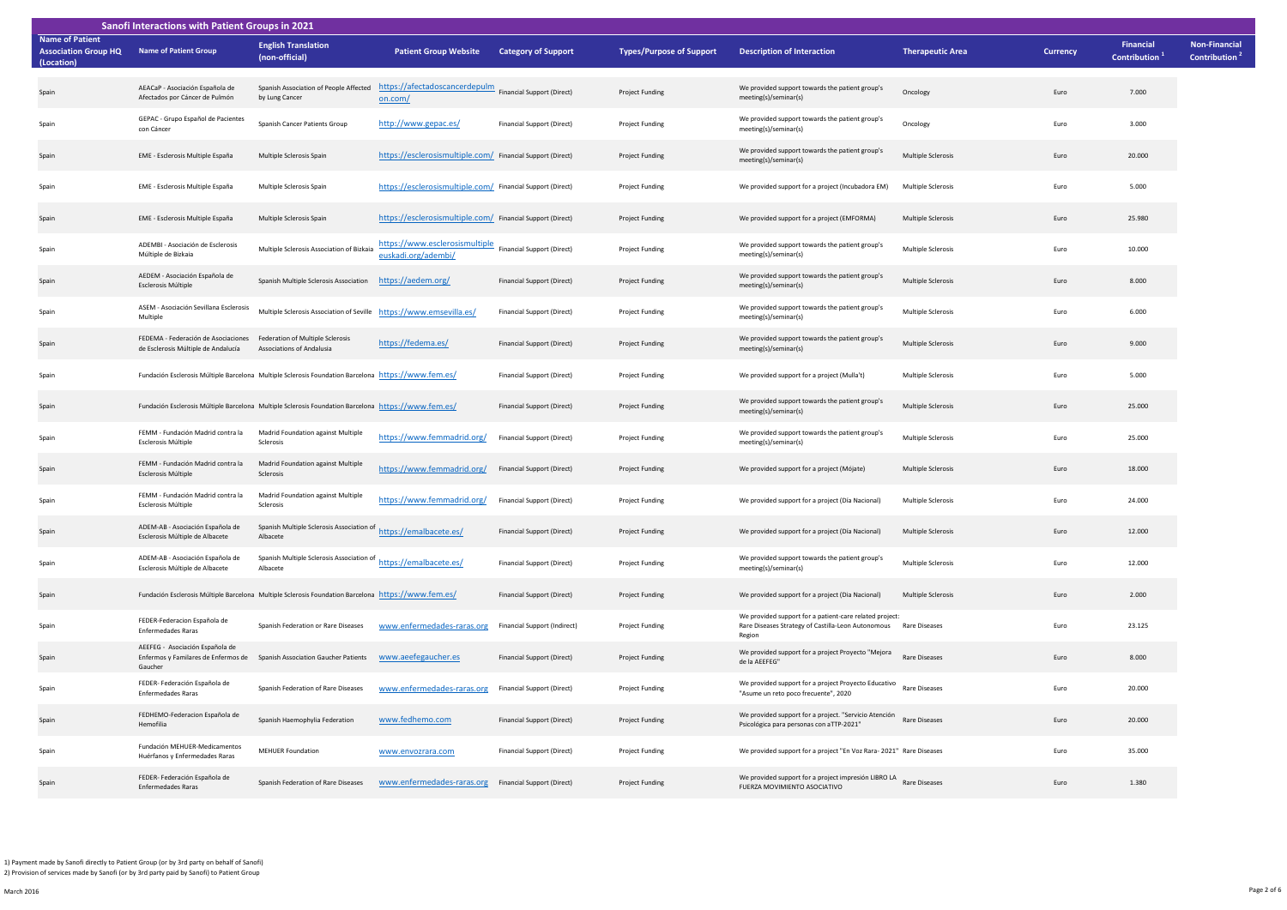| Sanofi Interactions with Patient Groups in 2021                     |                                                                                                             |                                                                                                     |                                                                                 |                                   |                                 |                                                                                                                         |                           |          |                                               |                                                   |
|---------------------------------------------------------------------|-------------------------------------------------------------------------------------------------------------|-----------------------------------------------------------------------------------------------------|---------------------------------------------------------------------------------|-----------------------------------|---------------------------------|-------------------------------------------------------------------------------------------------------------------------|---------------------------|----------|-----------------------------------------------|---------------------------------------------------|
| <b>Name of Patient</b><br><b>Association Group HQ</b><br>(Location) | <b>Name of Patient Group</b>                                                                                | <b>English Translation</b><br>(non-official)                                                        | <b>Patient Group Website</b>                                                    | <b>Category of Support</b>        | <b>Types/Purpose of Support</b> | <b>Description of Interaction</b>                                                                                       | <b>Therapeutic Area</b>   | Currency | <b>Financial</b><br>Contribution <sup>1</sup> | <b>Non-Financial</b><br>Contribution <sup>2</sup> |
| Spain                                                               | AEACaP - Asociación Española de<br>Afectados por Cáncer de Pulmón                                           | by Lung Cancer                                                                                      | Spanish Association of People Affected https://afectadoscancerdepulm<br>on.com/ | <b>Financial Support (Direct)</b> | Project Funding                 | We provided support towards the patient group's<br>meeting(s)/seminar(s)                                                | Oncology                  | Euro     | 7.000                                         |                                                   |
| Spain                                                               | GEPAC - Grupo Español de Pacientes<br>con Cáncer                                                            | Spanish Cancer Patients Group                                                                       | http://www.gepac.es/                                                            | Financial Support (Direct)        | Project Funding                 | We provided support towards the patient group's<br>meeting(s)/seminar(s)                                                | Oncology                  | Euro     | 3.000                                         |                                                   |
| Spain                                                               | EME - Esclerosis Multiple España                                                                            | Multiple Sclerosis Spain                                                                            | https://esclerosismultiple.com/ Financial Support (Direct)                      |                                   | Project Funding                 | We provided support towards the patient group's<br>meeting(s)/seminar(s)                                                | Multiple Sclerosis        | Euro     | 20.000                                        |                                                   |
| Spain                                                               | EME - Esclerosis Multiple España                                                                            | Multiple Sclerosis Spain                                                                            | https://esclerosismultiple.com/ Financial Support (Direct)                      |                                   | Project Funding                 | We provided support for a project (Incubadora EM)                                                                       | Multiple Sclerosis        | Euro     | 5.000                                         |                                                   |
| Spain                                                               | EME - Esclerosis Multiple España                                                                            | Multiple Sclerosis Spain                                                                            | https://esclerosismultiple.com/ Financial Support (Direct)                      |                                   | Project Funding                 | We provided support for a project (EMFORMA)                                                                             | Multiple Sclerosis        | Euro     | 25.980                                        |                                                   |
| Spain                                                               | ADEMBI - Asociación de Esclerosis<br>Múltiple de Bizkaia                                                    | Multiple Sclerosis Association of Bizkaia                                                           | https://www.esclerosismultiple<br>euskadi.org/adembi/                           | Financial Support (Direct)        | Project Funding                 | We provided support towards the patient group's<br>meeting(s)/seminar(s)                                                | Multiple Sclerosis        | Euro     | 10.000                                        |                                                   |
| Spain                                                               | AEDEM - Asociación Española de<br>Esclerosis Múltiple                                                       | Spanish Multiple Sclerosis Association                                                              | https://aedem.org/                                                              | Financial Support (Direct)        | Project Funding                 | We provided support towards the patient group's<br>meeting(s)/seminar(s)                                                | Multiple Sclerosis        | Euro     | 8.000                                         |                                                   |
| Spain                                                               | ASEM - Asociación Sevillana Esclerosis<br>Multiple                                                          | Multiple Sclerosis Association of Seville https://www.emsevilla.es/                                 |                                                                                 | Financial Support (Direct)        | Project Funding                 | We provided support towards the patient group's<br>meeting(s)/seminar(s)                                                | Multiple Sclerosis        | Euro     | 6.000                                         |                                                   |
| Spain                                                               | FEDEMA - Federación de Asociaciones Federation of Multiple Sclerosis<br>de Esclerosis Múltiple de Andalucía | Associations of Andalusia                                                                           | https://fedema.es/                                                              | Financial Support (Direct)        | Project Funding                 | We provided support towards the patient group's<br>meeting(s)/seminar(s)                                                | Multiple Sclerosis        | Euro     | 9.000                                         |                                                   |
| Spain                                                               |                                                                                                             | Fundación Esclerosis Múltiple Barcelona Multiple Sclerosis Foundation Barcelona https://www.fem.es/ |                                                                                 | Financial Support (Direct)        | Project Funding                 | We provided support for a project (Mulla't)                                                                             | Multiple Sclerosis        | Euro     | 5.000                                         |                                                   |
| Spain                                                               |                                                                                                             | Fundación Esclerosis Múltiple Barcelona Multiple Sclerosis Foundation Barcelona https://www.fem.es/ |                                                                                 | Financial Support (Direct)        | Project Funding                 | We provided support towards the patient group's<br>meeting(s)/seminar(s)                                                | Multiple Sclerosis        | Euro     | 25.000                                        |                                                   |
| Spain                                                               | FEMM - Fundación Madrid contra la<br>Esclerosis Múltiple                                                    | Madrid Foundation against Multiple<br>Sclerosis                                                     | https://www.femmadrid.org/                                                      | Financial Support (Direct)        | Project Funding                 | We provided support towards the patient group's<br>meeting(s)/seminar(s)                                                | Multiple Sclerosis        | Euro     | 25.000                                        |                                                   |
| Spain                                                               | FEMM - Fundación Madrid contra la<br>Esclerosis Múltiple                                                    | Madrid Foundation against Multiple<br>Sclerosis                                                     | https://www.femmadrid.org/                                                      | Financial Support (Direct)        | Project Funding                 | We provided support for a project (Mójate)                                                                              | <b>Multiple Sclerosis</b> | Euro     | 18.000                                        |                                                   |
| Spain                                                               | FEMM - Fundación Madrid contra la<br>Esclerosis Múltiple                                                    | Madrid Foundation against Multiple<br>Sclerosis                                                     | https://www.femmadrid.org/                                                      | Financial Support (Direct)        | Project Funding                 | We provided support for a project (Día Nacional)                                                                        | Multiple Sclerosis        | Euro     | 24,000                                        |                                                   |
| Spain                                                               | ADEM-AB - Asociación Española de<br>Esclerosis Múltiple de Albacete                                         | Spanish Multiple Sclerosis Association of<br>Albacete                                               | https://emalbacete.es/                                                          | Financial Support (Direct)        | Project Funding                 | We provided support for a project (Día Nacional)                                                                        | <b>Multiple Sclerosis</b> | Euro     | 12.000                                        |                                                   |
| Spain                                                               | ADEM-AB - Asociación Española de<br>Esclerosis Múltiple de Albacete                                         | Spanish Multiple Sclerosis Association of<br>Albacete                                               | https://emalbacete.es/                                                          | Financial Support (Direct)        | Project Funding                 | We provided support towards the patient group's<br>meeting(s)/seminar(s)                                                | Multiple Sclerosis        | Euro     | 12.000                                        |                                                   |
| Spain                                                               |                                                                                                             | Fundación Esclerosis Múltiple Barcelona Multiple Sclerosis Foundation Barcelona https://www.fem.es/ |                                                                                 | Financial Support (Direct)        | Project Funding                 | We provided support for a project (Dia Nacional)                                                                        | <b>Multiple Sclerosis</b> | Euro     | 2.000                                         |                                                   |
| Spain                                                               | FEDER-Federacion Española de<br><b>Enfermedades Raras</b>                                                   | Spanish Federation or Rare Diseases                                                                 | www.enfermedades-raras.org                                                      | Financial Support (Indirect)      | Project Funding                 | We provided support for a patient-care related project:<br>Rare Diseases Strategy of Castilla-Leon Autonomous<br>Region | <b>Rare Diseases</b>      | Euro     | 23.125                                        |                                                   |
| Spain                                                               | AEEFEG - Asociación Española de<br>Gaucher                                                                  | Enfermos y Familares de Enfermos de Spanish Association Gaucher Patients                            | www.aeefegaucher.es                                                             | Financial Support (Direct)        | Project Funding                 | We provided support for a project Proyecto "Mejora<br>de la AEEFEG"                                                     | Rare Diseases             | Euro     | 8.000                                         |                                                   |
| Spain                                                               | FEDER- Federación Española de<br><b>Enfermedades Raras</b>                                                  | Spanish Federation of Rare Diseases                                                                 | www.enfermedades-raras.org                                                      | Financial Support (Direct)        | Project Funding                 | We provided support for a project Proyecto Educativo<br>"Asume un reto poco frecuente", 2020                            | Rare Diseases             | Euro     | 20.000                                        |                                                   |
| Spain                                                               | FEDHEMO-Federacion Española de<br>Hemofilia                                                                 | Spanish Haemophylia Federation                                                                      | www.fedhemo.com                                                                 | Financial Support (Direct)        | Project Funding                 | We provided support for a project. "Servicio Atención<br>Psicológica para personas con aTTP-2021"                       | Rare Diseases             | Euro     | 20,000                                        |                                                   |
| Spain                                                               | Fundación MEHUER-Medicamentos<br>Huérfanos y Enfermedades Raras                                             | <b>MEHUER Foundation</b>                                                                            | www.envozrara.com                                                               | Financial Support (Direct)        | Project Funding                 | We provided support for a project "En Voz Rara- 2021" Rare Diseases                                                     |                           | Euro     | 35.000                                        |                                                   |
| Spain                                                               | FEDER- Federación Española de<br>Enfermedades Raras                                                         | Spanish Federation of Rare Diseases                                                                 | www.enfermedades-raras.org                                                      | Financial Support (Direct)        | Project Funding                 | We provided support for a project impresión LIBRO LA Rare Diseases<br>FUERZA MOVIMIENTO ASOCIATIVO                      |                           | Euro     | 1.380                                         |                                                   |